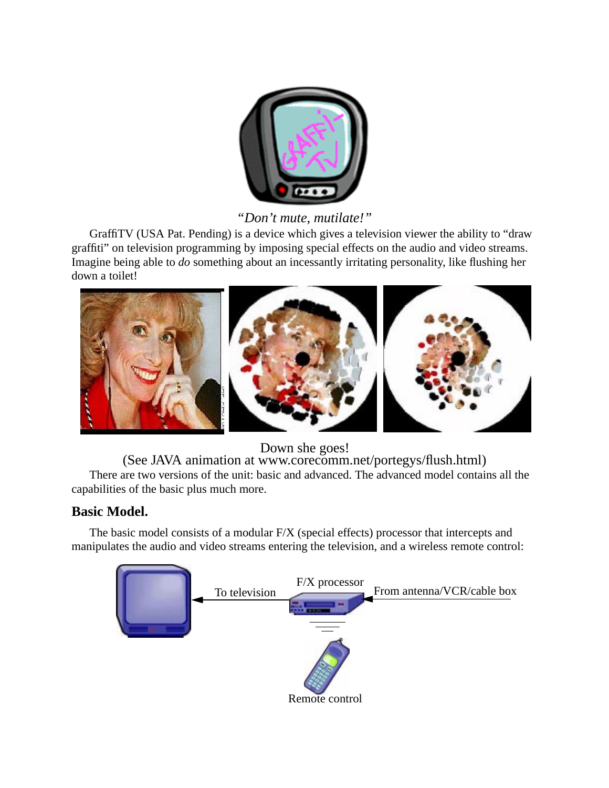

### *"Don't mute, mutilate!"*

GraffiTV (USA Pat. Pending) is a device which gives a television viewer the ability to "draw graffiti" on television programming by imposing special effects on the audio and video streams. Imagine being able to *do* something about an incessantly irritating personality, like flushing her down a toilet!



There are two versions of the unit: basic and advanced. The advanced model contains all the capabilities of the basic plus much more. Down she goes! (See JAVA animation at www.corecomm.net/portegys/flush.html)

## **Basic Model.**

The basic model consists of a modular F/X (special effects) processor that intercepts and manipulates the audio and video streams entering the television, and a wireless remote control:

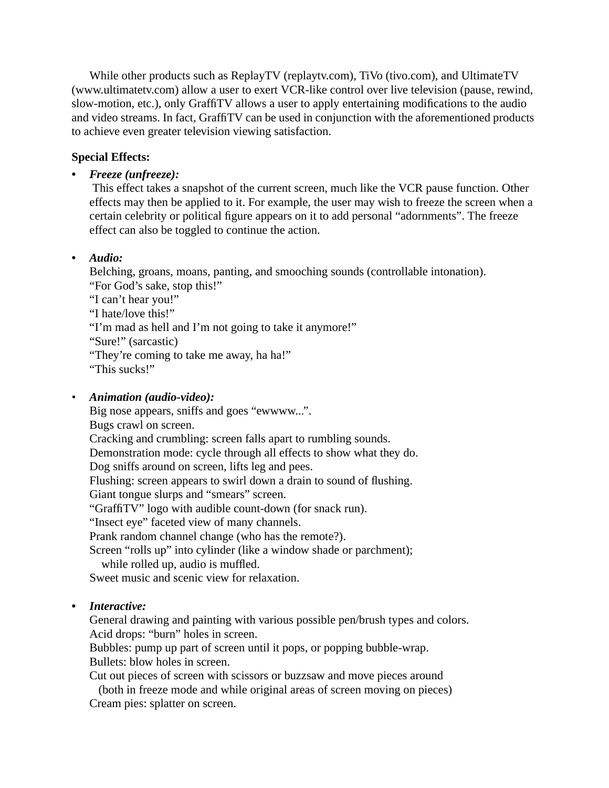While other products such as ReplayTV (replaytv.com), TiVo (tivo.com), and UltimateTV (www.ultimatetv.com) allow a user to exert VCR-like control over live television (pause, rewind, slow-motion, etc.), only GraffiTV allows a user to apply entertaining modifications to the audio and video streams. In fact, GraffiTV can be used in conjunction with the aforementioned products to achieve even greater television viewing satisfaction.

#### **Special Effects:**

*• Freeze (unfreeze):*

 This effect takes a snapshot of the current screen, much like the VCR pause function. Other effects may then be applied to it. For example, the user may wish to freeze the screen when a certain celebrity or political figure appears on it to add personal "adornments". The freeze effect can also be toggled to continue the action.

*• Audio:*

Belching, groans, moans, panting, and smooching sounds (controllable intonation). "For God's sake, stop this!" "I can't hear you!" "I hate/love this!" "I'm mad as hell and I'm not going to take it anymore!" "Sure!" (sarcastic) "They're coming to take me away, ha ha!" "This sucks!"

#### *• Animation (audio-video):*

Big nose appears, sniffs and goes "ewwww...". Bugs crawl on screen. Cracking and crumbling: screen falls apart to rumbling sounds. Demonstration mode: cycle through all effects to show what they do. Dog sniffs around on screen, lifts leg and pees. Flushing: screen appears to swirl down a drain to sound of flushing. Giant tongue slurps and "smears" screen. "GraffiTV" logo with audible count-down (for snack run). "Insect eye" faceted view of many channels. Prank random channel change (who has the remote?). Screen "rolls up" into cylinder (like a window shade or parchment); while rolled up, audio is muffled. Sweet music and scenic view for relaxation.

#### *• Interactive:*

General drawing and painting with various possible pen/brush types and colors. Acid drops: "burn" holes in screen.

Bubbles: pump up part of screen until it pops, or popping bubble-wrap. Bullets: blow holes in screen.

Cut out pieces of screen with scissors or buzzsaw and move pieces around

 (both in freeze mode and while original areas of screen moving on pieces) Cream pies: splatter on screen.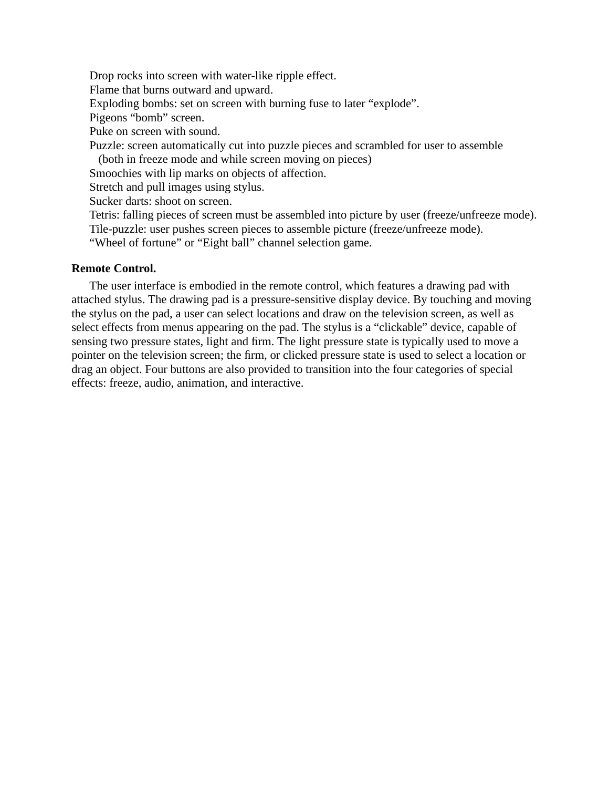Drop rocks into screen with water-like ripple effect. Flame that burns outward and upward. Exploding bombs: set on screen with burning fuse to later "explode". Pigeons "bomb" screen. Puke on screen with sound. Puzzle: screen automatically cut into puzzle pieces and scrambled for user to assemble (both in freeze mode and while screen moving on pieces) Smoochies with lip marks on objects of affection. Stretch and pull images using stylus. Sucker darts: shoot on screen. Tetris: falling pieces of screen must be assembled into picture by user (freeze/unfreeze mode). Tile-puzzle: user pushes screen pieces to assemble picture (freeze/unfreeze mode). "Wheel of fortune" or "Eight ball" channel selection game.

#### **Remote Control.**

The user interface is embodied in the remote control, which features a drawing pad with attached stylus. The drawing pad is a pressure-sensitive display device. By touching and moving the stylus on the pad, a user can select locations and draw on the television screen, as well as select effects from menus appearing on the pad. The stylus is a "clickable" device, capable of sensing two pressure states, light and firm. The light pressure state is typically used to move a pointer on the television screen; the firm, or clicked pressure state is used to select a location or drag an object. Four buttons are also provided to transition into the four categories of special effects: freeze, audio, animation, and interactive.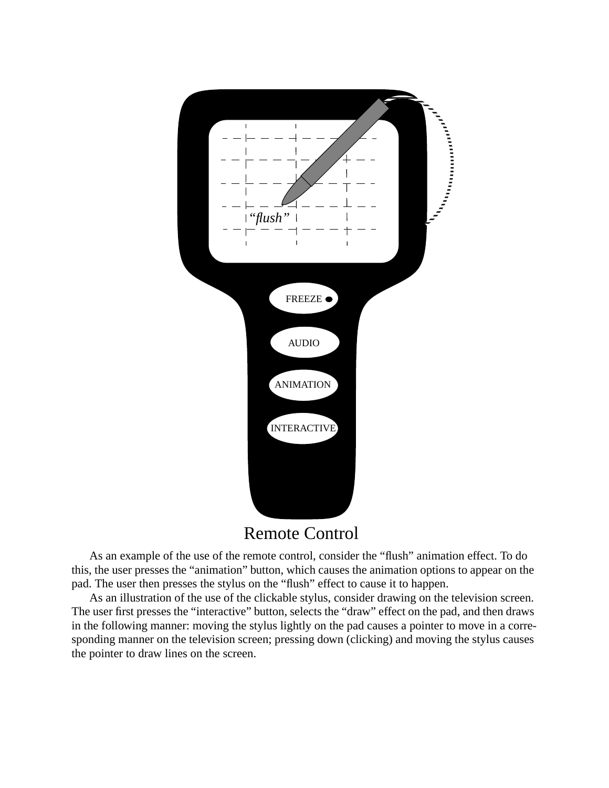

As an example of the use of the remote control, consider the "flush" animation effect. To do this, the user presses the "animation" button, which causes the animation options to appear on the pad. The user then presses the stylus on the "flush" effect to cause it to happen.

As an illustration of the use of the clickable stylus, consider drawing on the television screen. The user first presses the "interactive" button, selects the "draw" effect on the pad, and then draws in the following manner: moving the stylus lightly on the pad causes a pointer to move in a corresponding manner on the television screen; pressing down (clicking) and moving the stylus causes the pointer to draw lines on the screen.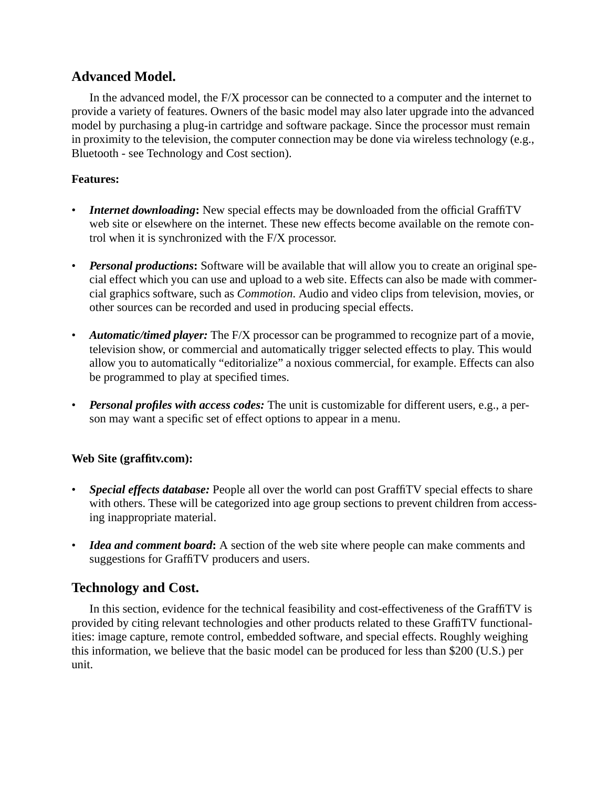## **Advanced Model.**

In the advanced model, the F/X processor can be connected to a computer and the internet to provide a variety of features. Owners of the basic model may also later upgrade into the advanced model by purchasing a plug-in cartridge and software package. Since the processor must remain in proximity to the television, the computer connection may be done via wireless technology (e.g., Bluetooth - see Technology and Cost section).

#### **Features:**

- *Internet downloading*: New special effects may be downloaded from the official GraffiTV web site or elsewhere on the internet. These new effects become available on the remote control when it is synchronized with the F/X processor.
- *Personal productions***:** Software will be available that will allow you to create an original special effect which you can use and upload to a web site. Effects can also be made with commercial graphics software, such as *Commotion*. Audio and video clips from television, movies, or other sources can be recorded and used in producing special effects.
- *Automatic/timed player:* The F/X processor can be programmed to recognize part of a movie, television show, or commercial and automatically trigger selected effects to play. This would allow you to automatically "editorialize" a noxious commercial, for example. Effects can also be programmed to play at specified times.
- *Personal profiles with access codes:* The unit is customizable for different users, e.g., a person may want a specific set of effect options to appear in a menu.

#### **Web Site (graffitv.com):**

- *Special effects database:* People all over the world can post GraffiTV special effects to share with others. These will be categorized into age group sections to prevent children from accessing inappropriate material.
- *Idea and comment board***:** A section of the web site where people can make comments and suggestions for GraffiTV producers and users.

# **Technology and Cost.**

In this section, evidence for the technical feasibility and cost-effectiveness of the GraffiTV is provided by citing relevant technologies and other products related to these GraffiTV functionalities: image capture, remote control, embedded software, and special effects. Roughly weighing this information, we believe that the basic model can be produced for less than \$200 (U.S.) per unit.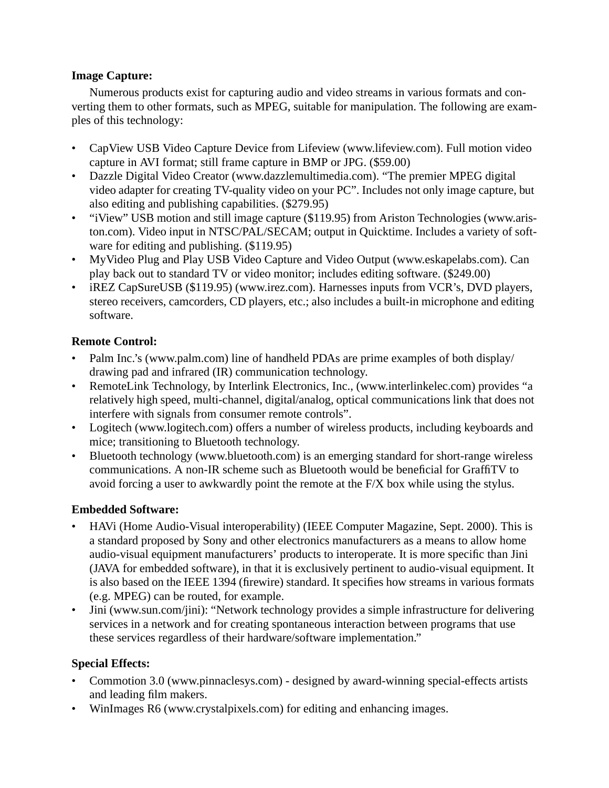#### **Image Capture:**

Numerous products exist for capturing audio and video streams in various formats and converting them to other formats, such as MPEG, suitable for manipulation. The following are examples of this technology:

- CapView USB Video Capture Device from Lifeview (www.lifeview.com). Full motion video capture in AVI format; still frame capture in BMP or JPG. (\$59.00)
- Dazzle Digital Video Creator (www.dazzlemultimedia.com). "The premier MPEG digital video adapter for creating TV-quality video on your PC". Includes not only image capture, but also editing and publishing capabilities. (\$279.95)
- "iView" USB motion and still image capture (\$119.95) from Ariston Technologies (www.ariston.com). Video input in NTSC/PAL/SECAM; output in Quicktime. Includes a variety of software for editing and publishing. (\$119.95)
- MyVideo Plug and Play USB Video Capture and Video Output (www.eskapelabs.com). Can play back out to standard TV or video monitor; includes editing software. (\$249.00)
- iREZ CapSureUSB (\$119.95) (www.irez.com). Harnesses inputs from VCR's, DVD players, stereo receivers, camcorders, CD players, etc.; also includes a built-in microphone and editing software.

### **Remote Control:**

- Palm Inc.'s (www.palm.com) line of handheld PDAs are prime examples of both display/ drawing pad and infrared (IR) communication technology.
- RemoteLink Technology, by Interlink Electronics, Inc., (www.interlinkelec.com) provides "a relatively high speed, multi-channel, digital/analog, optical communications link that does not interfere with signals from consumer remote controls".
- Logitech (www.logitech.com) offers a number of wireless products, including keyboards and mice; transitioning to Bluetooth technology.
- Bluetooth technology (www.bluetooth.com) is an emerging standard for short-range wireless communications. A non-IR scheme such as Bluetooth would be beneficial for GraffiTV to avoid forcing a user to awkwardly point the remote at the F/X box while using the stylus.

### **Embedded Software:**

- HAVi (Home Audio-Visual interoperability) (IEEE Computer Magazine, Sept. 2000). This is a standard proposed by Sony and other electronics manufacturers as a means to allow home audio-visual equipment manufacturers' products to interoperate. It is more specific than Jini (JAVA for embedded software), in that it is exclusively pertinent to audio-visual equipment. It is also based on the IEEE 1394 (firewire) standard. It specifies how streams in various formats (e.g. MPEG) can be routed, for example.
- Jini (www.sun.com/jini): "Network technology provides a simple infrastructure for delivering services in a network and for creating spontaneous interaction between programs that use these services regardless of their hardware/software implementation."

### **Special Effects:**

- Commotion 3.0 (www.pinnaclesys.com) designed by award-winning special-effects artists and leading film makers.
- WinImages R6 (www.crystalpixels.com) for editing and enhancing images.